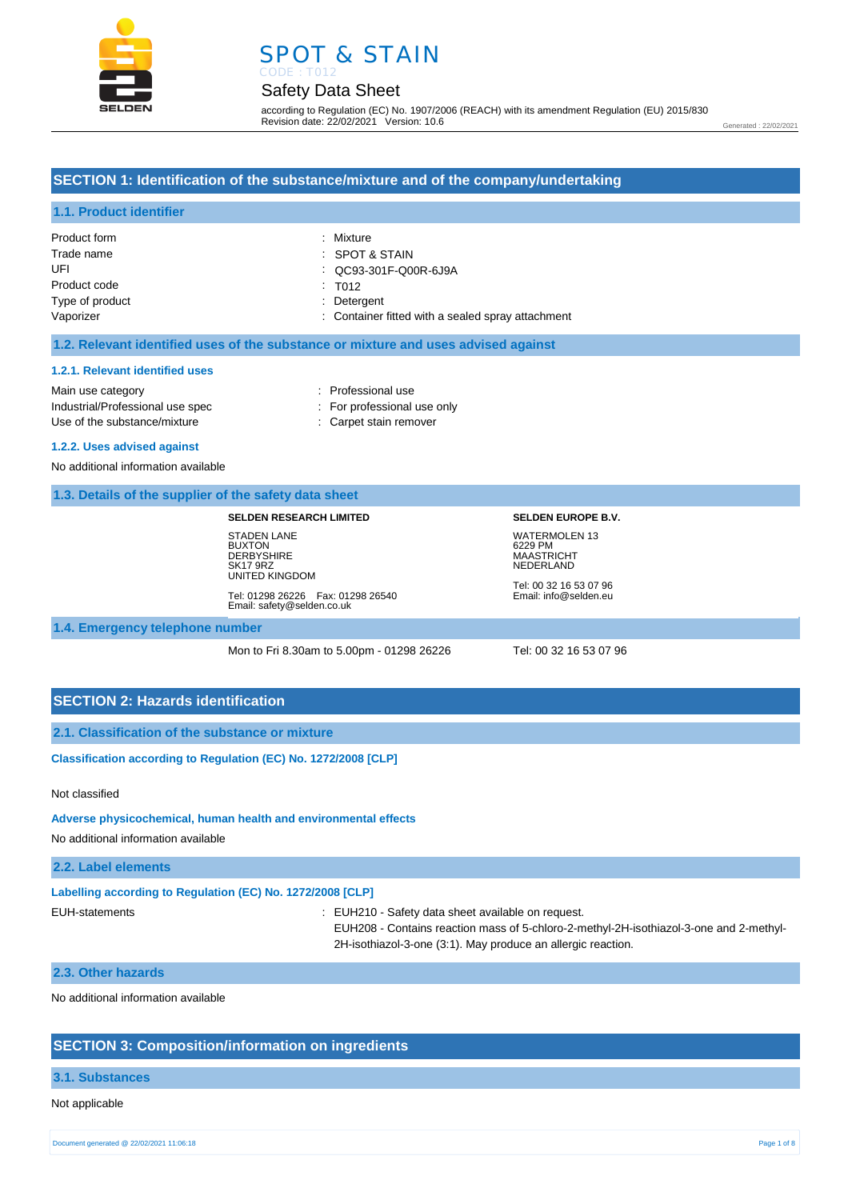



according to Regulation (EC) No. 1907/2006 (REACH) with its amendment Regulation (EU) 2015/830 Revision date: 22/02/2021 Version: 10.6

Generated : 22/02/2021

# **SECTION 1: Identification of the substance/mixture and of the company/undertaking**

# **1.1. Product identifier**

| Product form    | : Mixture                                         |
|-----------------|---------------------------------------------------|
| Trade name      | $\therefore$ SPOT & STAIN                         |
| UFI             | CC93-301F-Q00R-6J9A                               |
| Product code    | $\therefore$ T012                                 |
| Type of product | : Detergent                                       |
| Vaporizer       | : Container fitted with a sealed spray attachment |

## **1.2. Relevant identified uses of the substance or mixture and uses advised against**

#### **1.2.1. Relevant identified uses**

Main use category **interest and the COV** and the Professional use Industrial/Professional use spec : For professional use only Use of the substance/mixture : Carpet stain remover

- 
- 

## **1.2.2. Uses advised against**

No additional information available

### **1.3. Details of the supplier of the safety data sheet**

#### **SELDEN RESEARCH LIMITED**

STADEN LANE **BUXTON DERBYSHIRE** SK17 9RZ UNITED KINGDOM Tel: 01298 26226 Fax: 01298 26540 Email: safety@selden.co.uk **SELDEN EUROPE B.V.** WATERMOLEN 13 6229 PM MAASTRICHT NEDERLAND

Tel: 00 32 16 53 07 96 Email: info@selden.eu

**1.4. Emergency telephone number**

Mon to Fri 8.30am to 5.00pm - 01298 26226 Tel: 00 32 16 53 07 96

# **SECTION 2: Hazards identification**

**2.1. Classification of the substance or mixture**

**Classification according to Regulation (EC) No. 1272/2008 [CLP]** 

## Not classified

#### **Adverse physicochemical, human health and environmental effects**

No additional information available

## **2.2. Label elements**

| Labelling according to Regulation (EC) No. 1272/2008 [CLP] |                                                                                                                                                                                                            |
|------------------------------------------------------------|------------------------------------------------------------------------------------------------------------------------------------------------------------------------------------------------------------|
| EUH-statements                                             | EUH210 - Safety data sheet available on request.<br>EUH208 - Contains reaction mass of 5-chloro-2-methyl-2H-isothiazol-3-one and 2-methyl-<br>2H-isothiazol-3-one (3:1). May produce an allergic reaction. |

#### **2.3. Other hazards**

No additional information available

# **SECTION 3: Composition/information on ingredients**

### **3.1. Substances**

#### Not applicable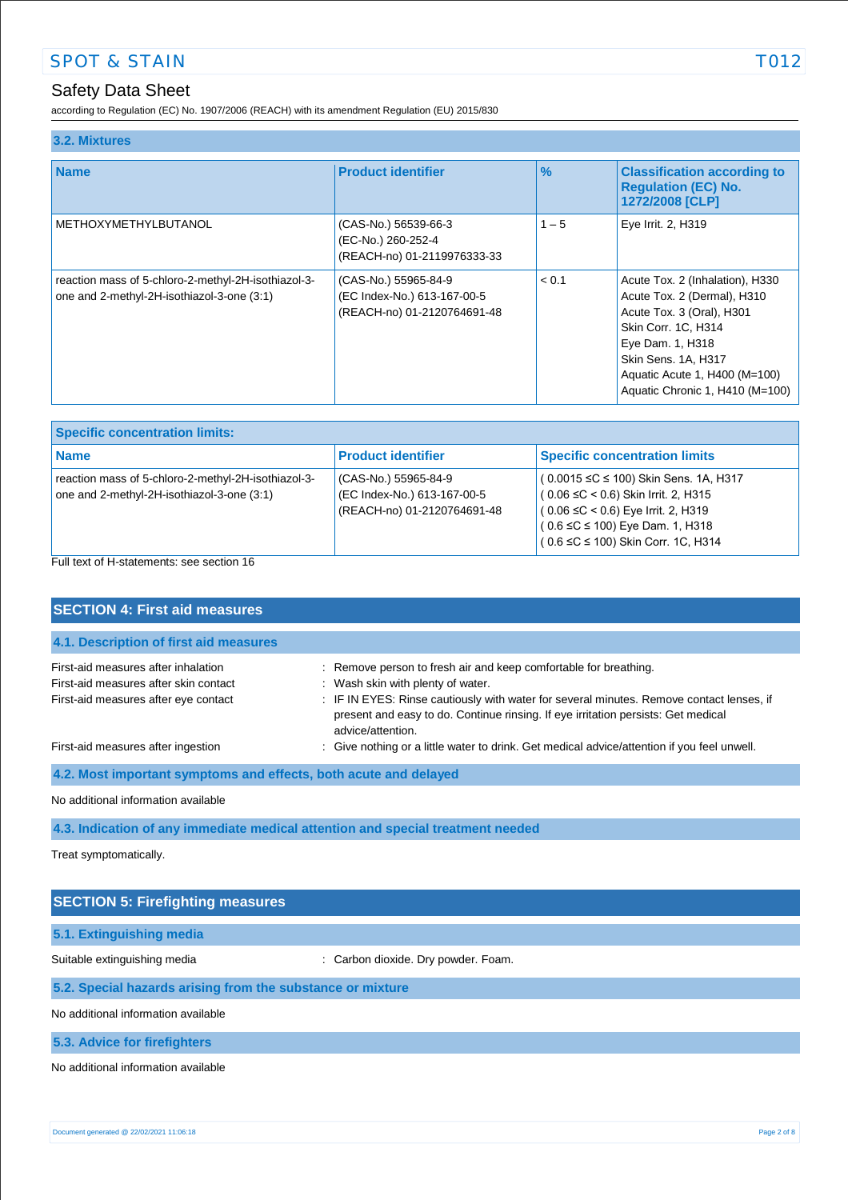according to Regulation (EC) No. 1907/2006 (REACH) with its amendment Regulation (EU) 2015/830

| 3.2. Mixtures                                                                                     |                                                                                    |               |                                                                                                                                                                                                                                   |
|---------------------------------------------------------------------------------------------------|------------------------------------------------------------------------------------|---------------|-----------------------------------------------------------------------------------------------------------------------------------------------------------------------------------------------------------------------------------|
| <b>Name</b>                                                                                       | <b>Product identifier</b>                                                          | $\frac{9}{6}$ | <b>Classification according to</b><br><b>Requlation (EC) No.</b><br>1272/2008 [CLP]                                                                                                                                               |
| <b>METHOXYMETHYLBUTANOL</b>                                                                       | (CAS-No.) 56539-66-3<br>(EC-No.) 260-252-4<br>(REACH-no) 01-2119976333-33          | $1 - 5$       | Eye Irrit. 2, H319                                                                                                                                                                                                                |
| reaction mass of 5-chloro-2-methyl-2H-isothiazol-3-<br>one and 2-methyl-2H-isothiazol-3-one (3:1) | (CAS-No.) 55965-84-9<br>(EC Index-No.) 613-167-00-5<br>(REACH-no) 01-2120764691-48 | < 0.1         | Acute Tox. 2 (Inhalation), H330<br>Acute Tox. 2 (Dermal), H310<br>Acute Tox. 3 (Oral), H301<br>Skin Corr. 1C, H314<br>Eye Dam. 1, H318<br>Skin Sens. 1A, H317<br>Aquatic Acute 1, H400 (M=100)<br>Aquatic Chronic 1, H410 (M=100) |

| <b>Specific concentration limits:</b>                                                             |                                                                                    |                                                                                                                                                                                                                           |
|---------------------------------------------------------------------------------------------------|------------------------------------------------------------------------------------|---------------------------------------------------------------------------------------------------------------------------------------------------------------------------------------------------------------------------|
| <b>Name</b>                                                                                       | <b>Product identifier</b>                                                          | <b>Specific concentration limits</b>                                                                                                                                                                                      |
| reaction mass of 5-chloro-2-methyl-2H-isothiazol-3-<br>one and 2-methyl-2H-isothiazol-3-one (3:1) | (CAS-No.) 55965-84-9<br>(EC Index-No.) 613-167-00-5<br>(REACH-no) 01-2120764691-48 | $(0.0015 \leq C \leq 100)$ Skin Sens. 1A, H317<br>$(0.06 ≤ C < 0.6)$ Skin Irrit. 2, H315<br>$(0.06 \leq C < 0.6)$ Eye Irrit. 2, H319<br>$(0.6 \leq C \leq 100)$ Eye Dam. 1, H318<br>$(0.6 ≤ C ≤ 100)$ Skin Corr. 1C, H314 |

Full text of H-statements: see section 16

| <b>SECTION 4: First aid measures</b>                                                                                 |                                                                                                                                                                                                                                                                                                             |  |
|----------------------------------------------------------------------------------------------------------------------|-------------------------------------------------------------------------------------------------------------------------------------------------------------------------------------------------------------------------------------------------------------------------------------------------------------|--|
| 4.1. Description of first aid measures                                                                               |                                                                                                                                                                                                                                                                                                             |  |
| First-aid measures after inhalation<br>First-aid measures after skin contact<br>First-aid measures after eye contact | : Remove person to fresh air and keep comfortable for breathing.<br>: Wash skin with plenty of water.<br>: IF IN EYES: Rinse cautiously with water for several minutes. Remove contact lenses, if<br>present and easy to do. Continue rinsing. If eye irritation persists: Get medical<br>advice/attention. |  |
| First-aid measures after ingestion                                                                                   | : Give nothing or a little water to drink. Get medical advice/attention if you feel unwell.                                                                                                                                                                                                                 |  |
| 4.2. Most important symptoms and effects, both acute and delayed                                                     |                                                                                                                                                                                                                                                                                                             |  |
| No additional information available                                                                                  |                                                                                                                                                                                                                                                                                                             |  |
| 4.3. Indication of any immediate medical attention and special treatment needed                                      |                                                                                                                                                                                                                                                                                                             |  |
| Treat symptomatically.                                                                                               |                                                                                                                                                                                                                                                                                                             |  |

| <b>SECTION 5: Firefighting measures</b>                    |                                     |  |
|------------------------------------------------------------|-------------------------------------|--|
| 5.1. Extinguishing media                                   |                                     |  |
| Suitable extinguishing media                               | : Carbon dioxide. Dry powder. Foam. |  |
| 5.2. Special hazards arising from the substance or mixture |                                     |  |
| No additional information available                        |                                     |  |
| 5.3. Advice for firefighters                               |                                     |  |

No additional information available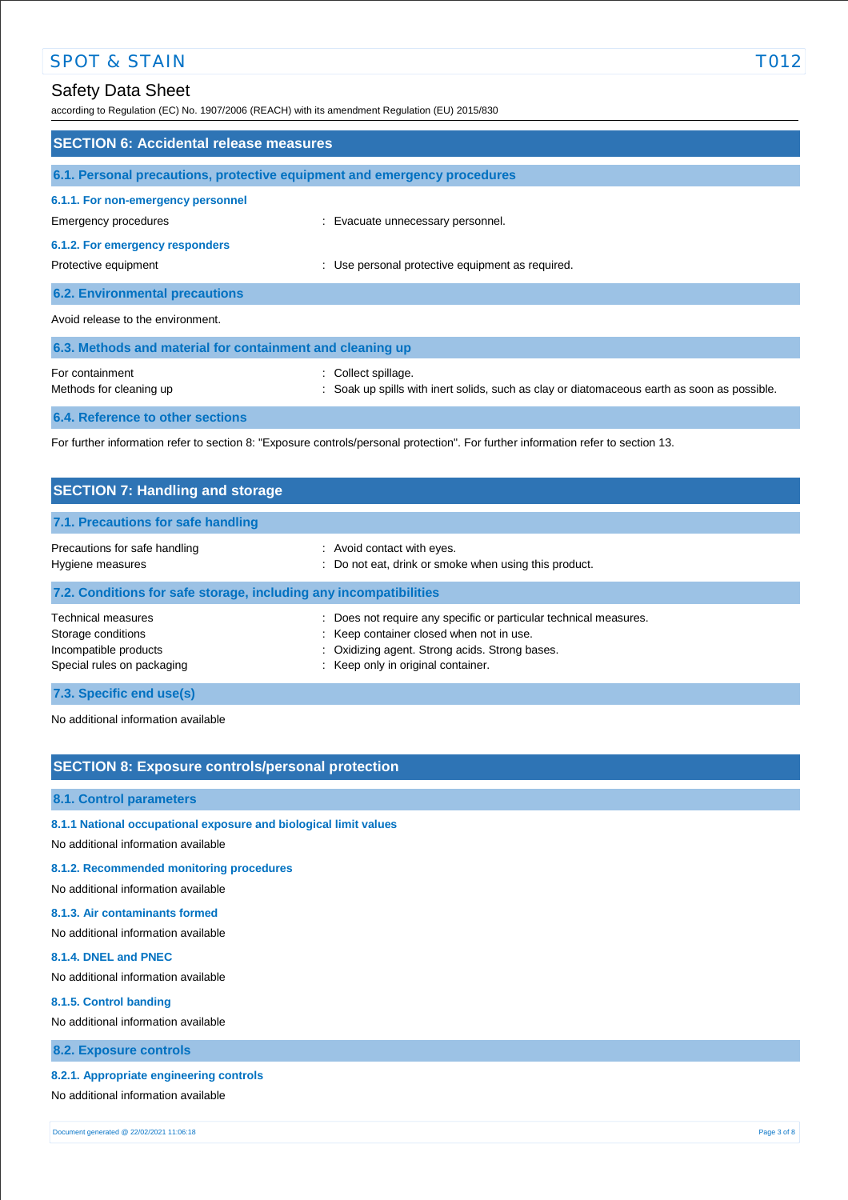according to Regulation (EC) No. 1907/2006 (REACH) with its amendment Regulation (EU) 2015/830

| <b>SECTION 6: Accidental release measures</b>                            |                                                                                                                                   |  |
|--------------------------------------------------------------------------|-----------------------------------------------------------------------------------------------------------------------------------|--|
| 6.1. Personal precautions, protective equipment and emergency procedures |                                                                                                                                   |  |
| 6.1.1. For non-emergency personnel                                       |                                                                                                                                   |  |
| Emergency procedures<br>6.1.2. For emergency responders                  | : Evacuate unnecessary personnel.                                                                                                 |  |
| Protective equipment                                                     | : Use personal protective equipment as required.                                                                                  |  |
| <b>6.2. Environmental precautions</b>                                    |                                                                                                                                   |  |
| Avoid release to the environment.                                        |                                                                                                                                   |  |
| 6.3. Methods and material for containment and cleaning up                |                                                                                                                                   |  |
| For containment<br>Methods for cleaning up                               | : Collect spillage.<br>: Soak up spills with inert solids, such as clay or diatomaceous earth as soon as possible.                |  |
| 6.4. Reference to other sections                                         |                                                                                                                                   |  |
|                                                                          | For further information refer to section 8: "Exposure controls/personal protection". For further information refer to section 13. |  |

| <b>SECTION 7: Handling and storage</b>                                                          |                                                                                                                                                                                                     |  |
|-------------------------------------------------------------------------------------------------|-----------------------------------------------------------------------------------------------------------------------------------------------------------------------------------------------------|--|
| 7.1. Precautions for safe handling                                                              |                                                                                                                                                                                                     |  |
| Precautions for safe handling<br>Hygiene measures                                               | : Avoid contact with eyes.<br>: Do not eat, drink or smoke when using this product.                                                                                                                 |  |
| 7.2. Conditions for safe storage, including any incompatibilities                               |                                                                                                                                                                                                     |  |
| Technical measures<br>Storage conditions<br>Incompatible products<br>Special rules on packaging | Does not require any specific or particular technical measures.<br>: Keep container closed when not in use.<br>: Oxidizing agent. Strong acids. Strong bases.<br>: Keep only in original container. |  |
| 7.3. Specific end use(s)                                                                        |                                                                                                                                                                                                     |  |

No additional information available

# **SECTION 8: Exposure controls/personal protection**

# **8.1. Control parameters**

- **8.1.1 National occupational exposure and biological limit values**
- No additional information available

# **8.1.2. Recommended monitoring procedures**

No additional information available

# **8.1.3. Air contaminants formed**

No additional information available

## **8.1.4. DNEL and PNEC**

No additional information available

### **8.1.5. Control banding**

No additional information available

# **8.2. Exposure controls**

# **8.2.1. Appropriate engineering controls**

No additional information available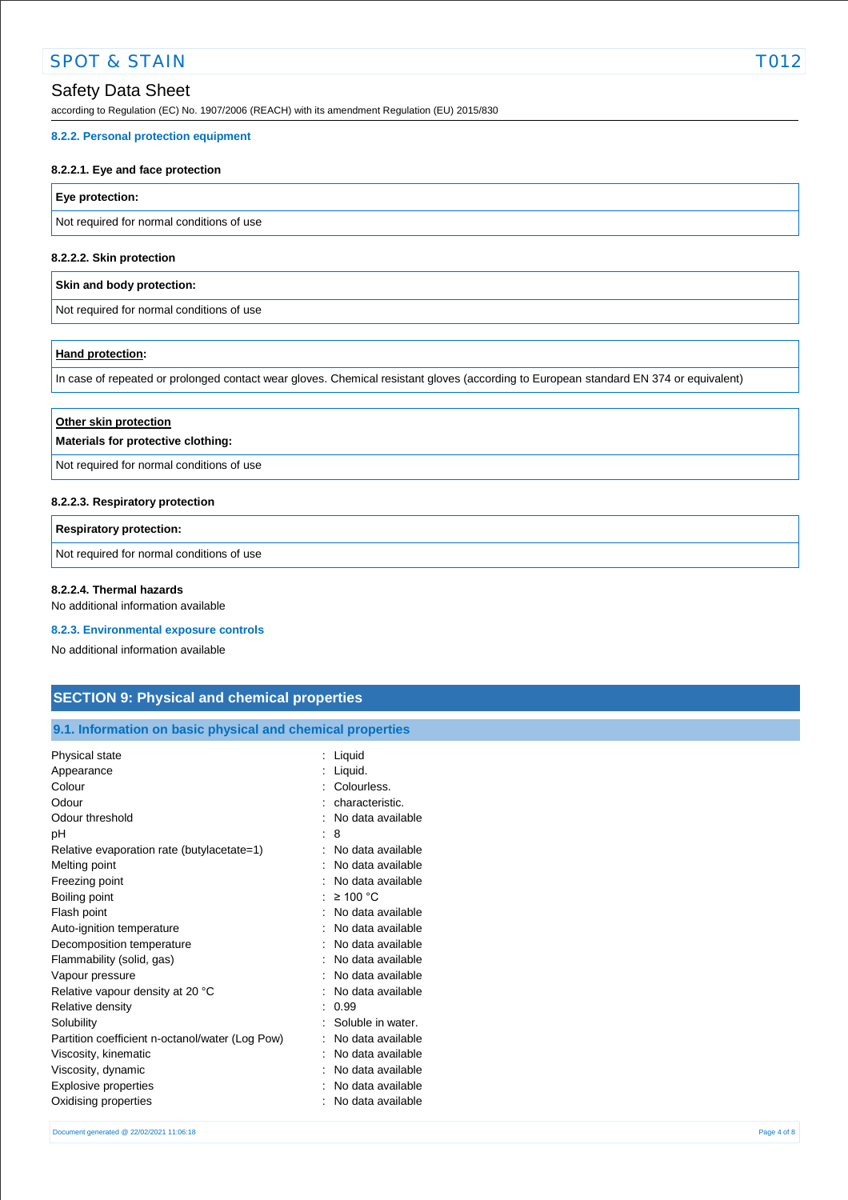according to Regulation (EC) No. 1907/2006 (REACH) with its amendment Regulation (EU) 2015/830

#### **8.2.2. Personal protection equipment**

## **8.2.2.1. Eye and face protection**

# **Eye protection:**

Not required for normal conditions of use

# **8.2.2.2. Skin protection**

## **Skin and body protection:**

Not required for normal conditions of use

### **Hand protection:**

In case of repeated or prolonged contact wear gloves. Chemical resistant gloves (according to European standard EN 374 or equivalent)

| Other skin protection<br>Materials for protective clothing: |  |
|-------------------------------------------------------------|--|
| Not required for normal conditions of use                   |  |

## **8.2.2.3. Respiratory protection**

# **Respiratory protection:**

Not required for normal conditions of use

## **8.2.2.4. Thermal hazards**

No additional information available

#### **8.2.3. Environmental exposure controls**

No additional information available

# **SECTION 9: Physical and chemical properties**

# **9.1. Information on basic physical and chemical properties**

| Liquid.<br>Appearance<br>Colourless.<br>Colour<br>Odour<br>characteristic. |  |
|----------------------------------------------------------------------------|--|
|                                                                            |  |
|                                                                            |  |
|                                                                            |  |
| Odour threshold<br>No data available                                       |  |
| рH<br>8                                                                    |  |
| Relative evaporation rate (butylacetate=1)<br>No data available            |  |
| Melting point<br>No data available                                         |  |
| Freezing point<br>No data available                                        |  |
| $\geq 100$ °C<br>Boiling point                                             |  |
| Flash point<br>No data available                                           |  |
| No data available<br>Auto-ignition temperature                             |  |
| Decomposition temperature<br>No data available                             |  |
| Flammability (solid, gas)<br>No data available                             |  |
| Vapour pressure<br>No data available                                       |  |
| Relative vapour density at 20 °C<br>No data available                      |  |
| Relative density<br>0.99                                                   |  |
| Soluble in water.<br>Solubility                                            |  |
| Partition coefficient n-octanol/water (Log Pow)<br>No data available       |  |
| Viscosity, kinematic<br>No data available                                  |  |
| Viscosity, dynamic<br>No data available                                    |  |
| Explosive properties<br>No data available                                  |  |
| No data available<br>Oxidising properties                                  |  |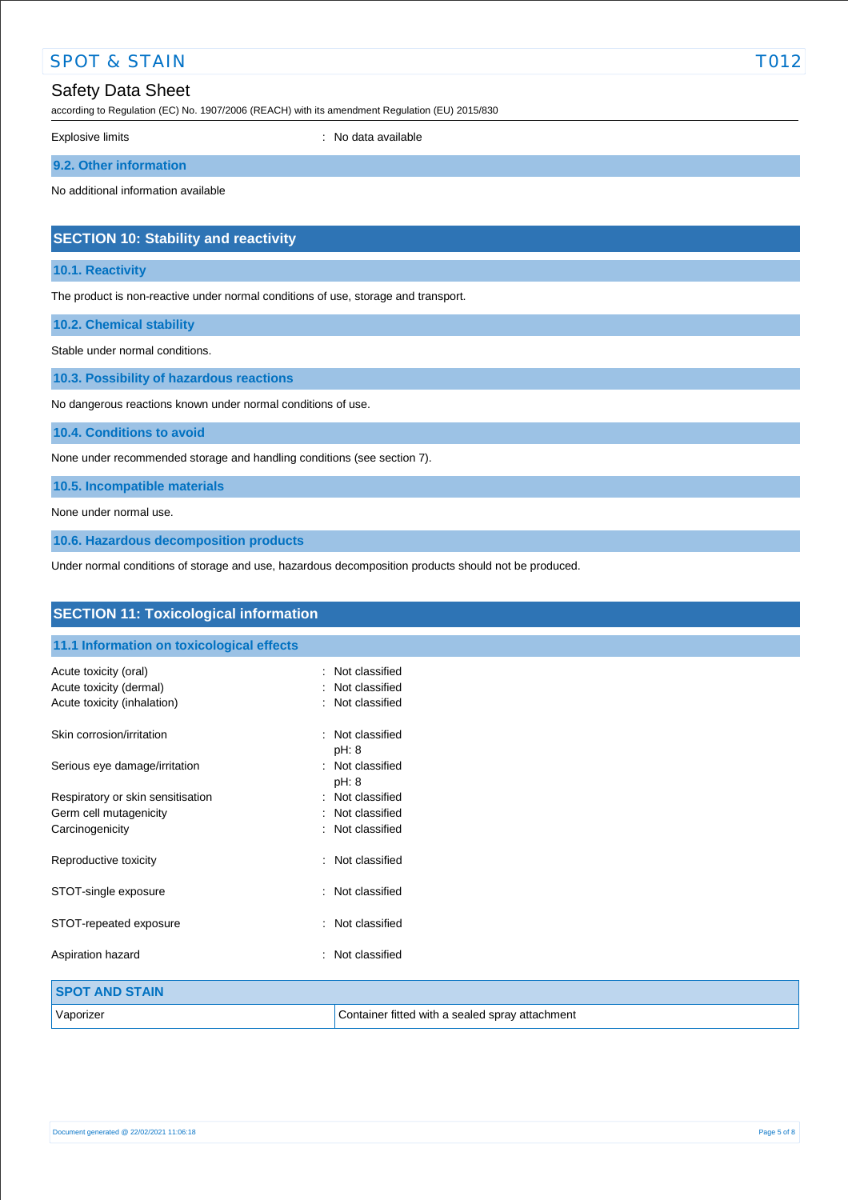| <b>SPOT &amp; STAIN</b>  |                                                                                                | T012 |
|--------------------------|------------------------------------------------------------------------------------------------|------|
| <b>Safety Data Sheet</b> | according to Regulation (EC) No. 1907/2006 (REACH) with its amendment Regulation (EU) 2015/830 |      |
| Explosive limits         | : No data available                                                                            |      |
| 9.2. Other information   |                                                                                                |      |

No additional information available

# **SECTION 10: Stability and reactivity**

# **10.1. Reactivity**

The product is non-reactive under normal conditions of use, storage and transport.

**10.2. Chemical stability**

Stable under normal conditions.

**10.3. Possibility of hazardous reactions**

No dangerous reactions known under normal conditions of use.

**10.4. Conditions to avoid**

None under recommended storage and handling conditions (see section 7).

**10.5. Incompatible materials**

None under normal use.

**10.6. Hazardous decomposition products**

Under normal conditions of storage and use, hazardous decomposition products should not be produced.

| <b>SECTION 11: Toxicological information</b>           |                                                 |  |
|--------------------------------------------------------|-------------------------------------------------|--|
| 11.1 Information on toxicological effects              |                                                 |  |
| Acute toxicity (oral)                                  | Not classified<br>$\sim$                        |  |
| Acute toxicity (dermal)<br>Acute toxicity (inhalation) | Not classified<br>Not classified                |  |
| Skin corrosion/irritation                              | Not classified<br>pH: 8                         |  |
| Serious eye damage/irritation                          | Not classified<br>pH: 8                         |  |
| Respiratory or skin sensitisation                      | Not classified<br>٠.                            |  |
| Germ cell mutagenicity                                 | Not classified                                  |  |
| Carcinogenicity                                        | Not classified                                  |  |
| Reproductive toxicity                                  | : Not classified                                |  |
| STOT-single exposure                                   | Not classified<br>÷                             |  |
| STOT-repeated exposure                                 | : Not classified                                |  |
| Aspiration hazard                                      | Not classified<br>$\bullet$                     |  |
| <b>SPOT AND STAIN</b>                                  |                                                 |  |
| Vaporizer                                              | Container fitted with a sealed spray attachment |  |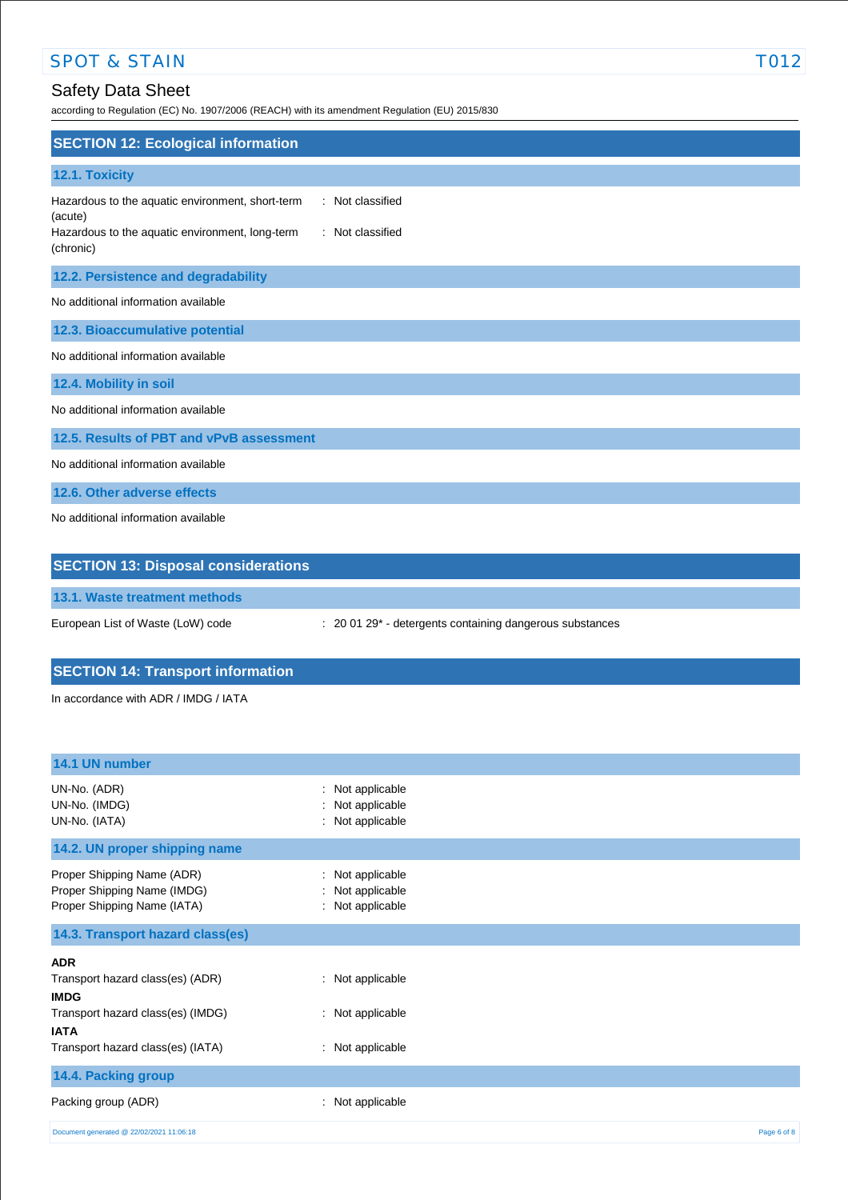# SPOT & STAIN TO12

# Safety Data Sheet

according to Regulation (EC) No. 1907/2006 (REACH) with its amendment Regulation (EU) 2015/830

| <b>SECTION 12: Ecological information</b>                                                                                                                           |  |  |
|---------------------------------------------------------------------------------------------------------------------------------------------------------------------|--|--|
| 12.1. Toxicity                                                                                                                                                      |  |  |
| : Not classified<br>Hazardous to the aquatic environment, short-term<br>(acute)<br>: Not classified<br>Hazardous to the aquatic environment, long-term<br>(chronic) |  |  |
| 12.2. Persistence and degradability                                                                                                                                 |  |  |
| No additional information available                                                                                                                                 |  |  |
| 12.3. Bioaccumulative potential                                                                                                                                     |  |  |
| No additional information available                                                                                                                                 |  |  |
| 12.4. Mobility in soil                                                                                                                                              |  |  |
| No additional information available                                                                                                                                 |  |  |
| 12.5. Results of PBT and vPvB assessment                                                                                                                            |  |  |
| No additional information available                                                                                                                                 |  |  |
| 12.6. Other adverse effects                                                                                                                                         |  |  |
| No additional information available                                                                                                                                 |  |  |
| <b>SECTION 13: Disposal considerations</b>                                                                                                                          |  |  |
| and the second state of                                                                                                                                             |  |  |

**13.1. Waste treatment methods**

European List of Waste (LoW) code : 20 01 29\* - detergents containing dangerous substances

# **SECTION 14: Transport information**

In accordance with ADR / IMDG / IATA

| 14.1 UN number                                                                           |                                                                  |             |
|------------------------------------------------------------------------------------------|------------------------------------------------------------------|-------------|
| UN-No. (ADR)<br>UN-No. (IMDG)<br>UN-No. (IATA)                                           | Not applicable<br>t.<br>Not applicable<br>÷.<br>: Not applicable |             |
| 14.2. UN proper shipping name                                                            |                                                                  |             |
| Proper Shipping Name (ADR)<br>Proper Shipping Name (IMDG)<br>Proper Shipping Name (IATA) | : Not applicable<br>: Not applicable<br>: Not applicable         |             |
| 14.3. Transport hazard class(es)                                                         |                                                                  |             |
| <b>ADR</b>                                                                               |                                                                  |             |
| Transport hazard class(es) (ADR)<br><b>IMDG</b>                                          | : Not applicable                                                 |             |
| Transport hazard class(es) (IMDG)<br><b>IATA</b>                                         | : Not applicable                                                 |             |
| Transport hazard class(es) (IATA)                                                        | : Not applicable                                                 |             |
| 14.4. Packing group                                                                      |                                                                  |             |
| Packing group (ADR)                                                                      | Not applicable<br>t.                                             |             |
| Document generated @ 22/02/2021 11:06:18                                                 |                                                                  | Page 6 of 8 |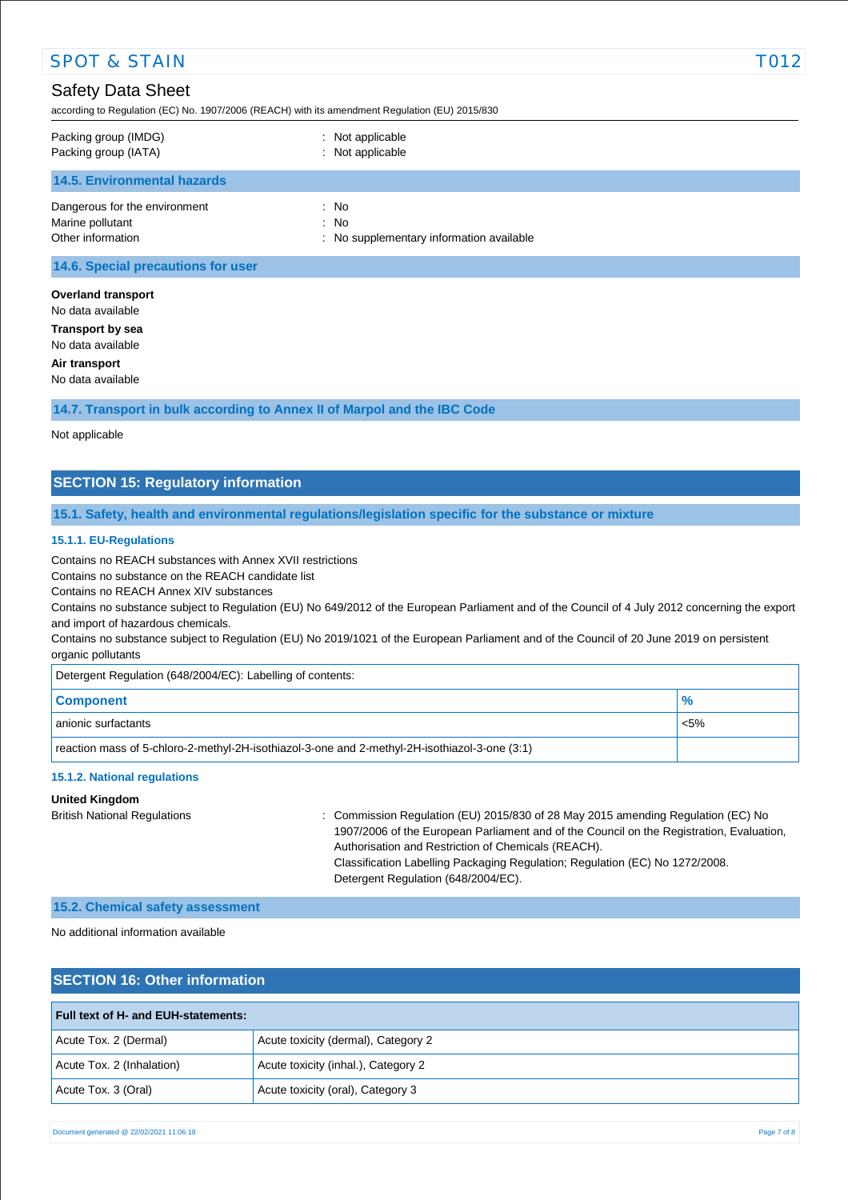| <b>SPOT &amp; STAIN</b>                                                                                                    |                                                          | T012 |  |  |
|----------------------------------------------------------------------------------------------------------------------------|----------------------------------------------------------|------|--|--|
| <b>Safety Data Sheet</b><br>according to Regulation (EC) No. 1907/2006 (REACH) with its amendment Regulation (EU) 2015/830 |                                                          |      |  |  |
| Packing group (IMDG)<br>Packing group (IATA)                                                                               | : Not applicable<br>: Not applicable                     |      |  |  |
| <b>14.5. Environmental hazards</b>                                                                                         |                                                          |      |  |  |
| Dangerous for the environment<br>Marine pollutant<br>Other information                                                     | : No<br>: No<br>: No supplementary information available |      |  |  |
| 14.6. Special precautions for user                                                                                         |                                                          |      |  |  |
| <b>Overland transport</b><br>No data available                                                                             |                                                          |      |  |  |
| <b>Transport by sea</b><br>No data available                                                                               |                                                          |      |  |  |
| Air transport<br>No data available                                                                                         |                                                          |      |  |  |

**14.7. Transport in bulk according to Annex II of Marpol and the IBC Code**

Not applicable

# **SECTION 15: Regulatory information**

## **15.1. Safety, health and environmental regulations/legislation specific for the substance or mixture**

### **15.1.1. EU-Regulations**

Contains no REACH substances with Annex XVII restrictions

Contains no substance on the REACH candidate list

Contains no REACH Annex XIV substances

Contains no substance subject to Regulation (EU) No 649/2012 of the European Parliament and of the Council of 4 July 2012 concerning the export and import of hazardous chemicals.

Contains no substance subject to Regulation (EU) No 2019/1021 of the European Parliament and of the Council of 20 June 2019 on persistent organic pollutants

Detergent Regulation (648/2004/EC): Labelling of contents:

| <b>Component</b>                                                                              | $\frac{9}{6}$ |
|-----------------------------------------------------------------------------------------------|---------------|
| anionic surfactants                                                                           | $< 5\%$       |
| reaction mass of 5-chloro-2-methyl-2H-isothiazol-3-one and 2-methyl-2H-isothiazol-3-one (3:1) |               |

### **15.1.2. National regulations**

### **United Kingdom**

British National Regulations : Commission Regulation (EU) 2015/830 of 28 May 2015 amending Regulation (EC) No 1907/2006 of the European Parliament and of the Council on the Registration, Evaluation, Authorisation and Restriction of Chemicals (REACH). Classification Labelling Packaging Regulation; Regulation (EC) No 1272/2008. Detergent Regulation (648/2004/EC).

#### **15.2. Chemical safety assessment**

## No additional information available

# **SECTION 16: Other information**

| <b>Full text of H- and EUH-statements:</b> |                                     |  |
|--------------------------------------------|-------------------------------------|--|
| Acute Tox. 2 (Dermal)                      | Acute toxicity (dermal), Category 2 |  |
| Acute Tox. 2 (Inhalation)                  | Acute toxicity (inhal.), Category 2 |  |
| Acute Tox. 3 (Oral)                        | Acute toxicity (oral), Category 3   |  |